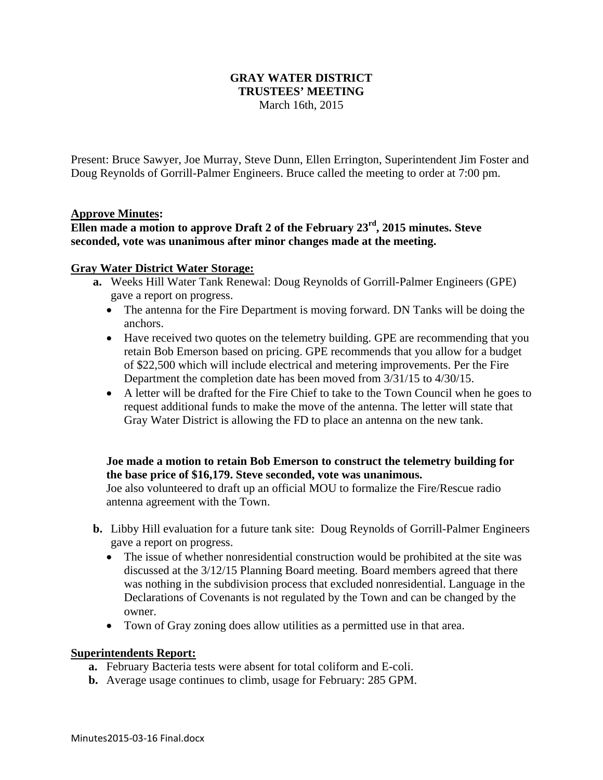### **GRAY WATER DISTRICT TRUSTEES' MEETING**  March 16th, 2015

Present: Bruce Sawyer, Joe Murray, Steve Dunn, Ellen Errington, Superintendent Jim Foster and Doug Reynolds of Gorrill-Palmer Engineers. Bruce called the meeting to order at 7:00 pm.

#### **Approve Minutes:**

# **Ellen made a motion to approve Draft 2 of the February 23rd, 2015 minutes. Steve seconded, vote was unanimous after minor changes made at the meeting.**

#### **Gray Water District Water Storage:**

- **a.** Weeks Hill Water Tank Renewal: Doug Reynolds of Gorrill-Palmer Engineers (GPE) gave a report on progress.
	- The antenna for the Fire Department is moving forward. DN Tanks will be doing the anchors.
	- Have received two quotes on the telemetry building. GPE are recommending that you retain Bob Emerson based on pricing. GPE recommends that you allow for a budget of \$22,500 which will include electrical and metering improvements. Per the Fire Department the completion date has been moved from 3/31/15 to 4/30/15.
	- A letter will be drafted for the Fire Chief to take to the Town Council when he goes to request additional funds to make the move of the antenna. The letter will state that Gray Water District is allowing the FD to place an antenna on the new tank.

### **Joe made a motion to retain Bob Emerson to construct the telemetry building for the base price of \$16,179. Steve seconded, vote was unanimous.**

Joe also volunteered to draft up an official MOU to formalize the Fire/Rescue radio antenna agreement with the Town.

- **b.** Libby Hill evaluation for a future tank site: Doug Reynolds of Gorrill-Palmer Engineers gave a report on progress.
	- The issue of whether nonresidential construction would be prohibited at the site was discussed at the 3/12/15 Planning Board meeting. Board members agreed that there was nothing in the subdivision process that excluded nonresidential. Language in the Declarations of Covenants is not regulated by the Town and can be changed by the owner.
	- Town of Gray zoning does allow utilities as a permitted use in that area.

#### **Superintendents Report:**

- **a.** February Bacteria tests were absent for total coliform and E-coli.
- **b.** Average usage continues to climb, usage for February: 285 GPM.